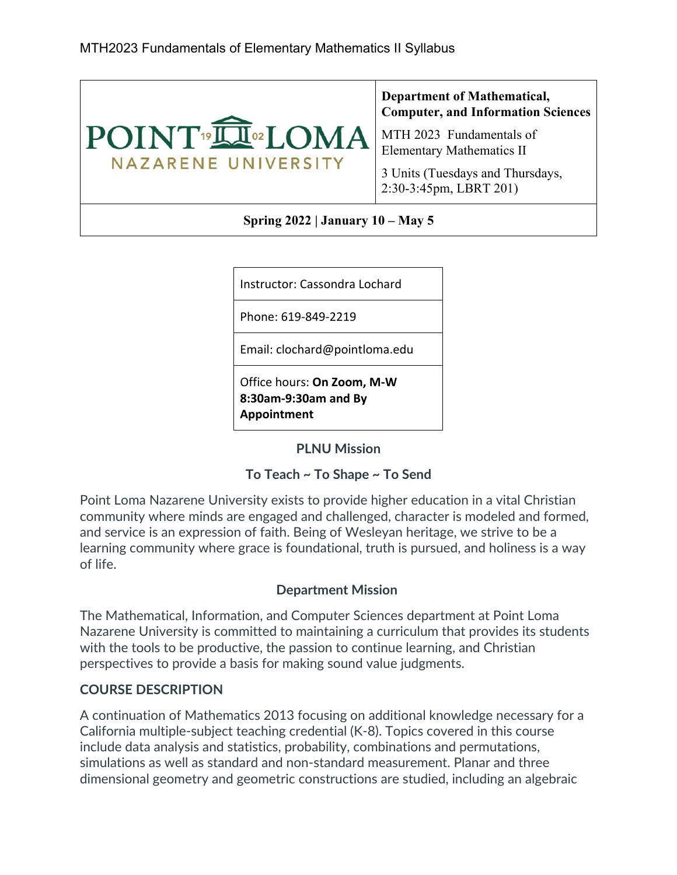

| Instructor: Cassondra Lochard                                     |
|-------------------------------------------------------------------|
| Phone: 619-849-2219                                               |
| Email: clochard@pointloma.edu                                     |
| Office hours: On Zoom, M-W<br>8:30am-9:30am and By<br>Appointment |

**PLNU Mission**

### **To Teach ~ To Shape ~ To Send**

Point Loma Nazarene University exists to provide higher education in a vital Christian community where minds are engaged and challenged, character is modeled and formed, and service is an expression of faith. Being of Wesleyan heritage, we strive to be a learning community where grace is foundational, truth is pursued, and holiness is a way of life.

### **Department Mission**

The Mathematical, Information, and Computer Sciences department at Point Loma Nazarene University is committed to maintaining a curriculum that provides its students with the tools to be productive, the passion to continue learning, and Christian perspectives to provide a basis for making sound value judgments.

### **COURSE DESCRIPTION**

A continuation of Mathematics 2013 focusing on additional knowledge necessary for a California multiple-subject teaching credential (K-8). Topics covered in this course include data analysis and statistics, probability, combinations and permutations, simulations as well as standard and non-standard measurement. Planar and three dimensional geometry and geometric constructions are studied, including an algebraic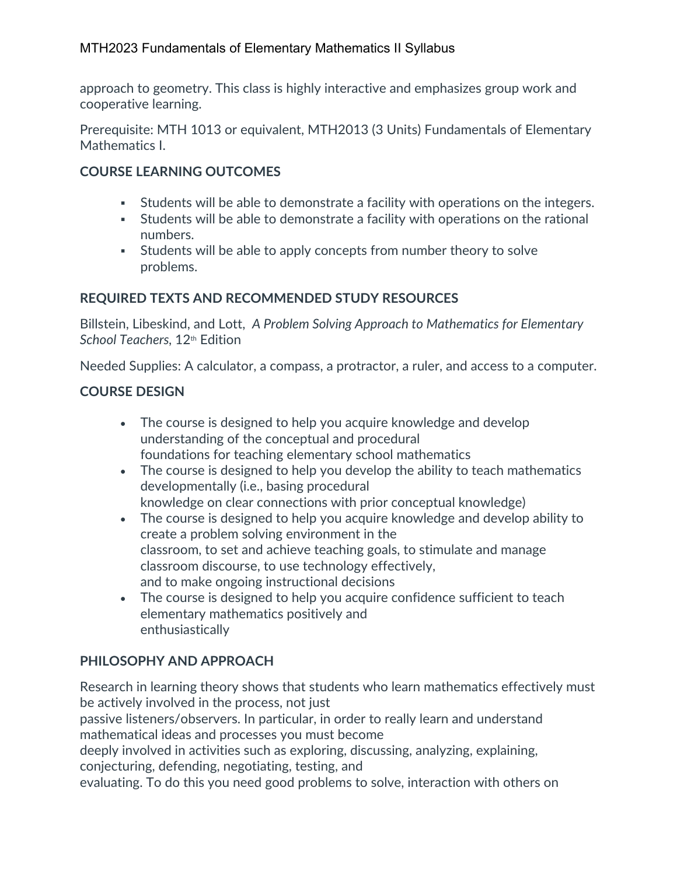approach to geometry. This class is highly interactive and emphasizes group work and cooperative learning.

Prerequisite: MTH 1013 or equivalent, MTH2013 (3 Units) Fundamentals of Elementary Mathematics I.

# **COURSE LEARNING OUTCOMES**

- Students will be able to demonstrate a facility with operations on the integers.
- Students will be able to demonstrate a facility with operations on the rational numbers.
- Students will be able to apply concepts from number theory to solve problems.

# **REQUIRED TEXTS AND RECOMMENDED STUDY RESOURCES**

Billstein, Libeskind, and Lott, *A Problem Solving Approach to Mathematics for Elementary School Teachers,* 12th Edition

Needed Supplies: A calculator, a compass, a protractor, a ruler, and access to a computer.

### **COURSE DESIGN**

- The course is designed to help you acquire knowledge and develop understanding of the conceptual and procedural foundations for teaching elementary school mathematics
- The course is designed to help you develop the ability to teach mathematics developmentally (i.e., basing procedural knowledge on clear connections with prior conceptual knowledge)
- The course is designed to help you acquire knowledge and develop ability to create a problem solving environment in the classroom, to set and achieve teaching goals, to stimulate and manage classroom discourse, to use technology effectively, and to make ongoing instructional decisions
- The course is designed to help you acquire confidence sufficient to teach elementary mathematics positively and enthusiastically

# **PHILOSOPHY AND APPROACH**

Research in learning theory shows that students who learn mathematics effectively must be actively involved in the process, not just

passive listeners/observers. In particular, in order to really learn and understand mathematical ideas and processes you must become

deeply involved in activities such as exploring, discussing, analyzing, explaining, conjecturing, defending, negotiating, testing, and

evaluating. To do this you need good problems to solve, interaction with others on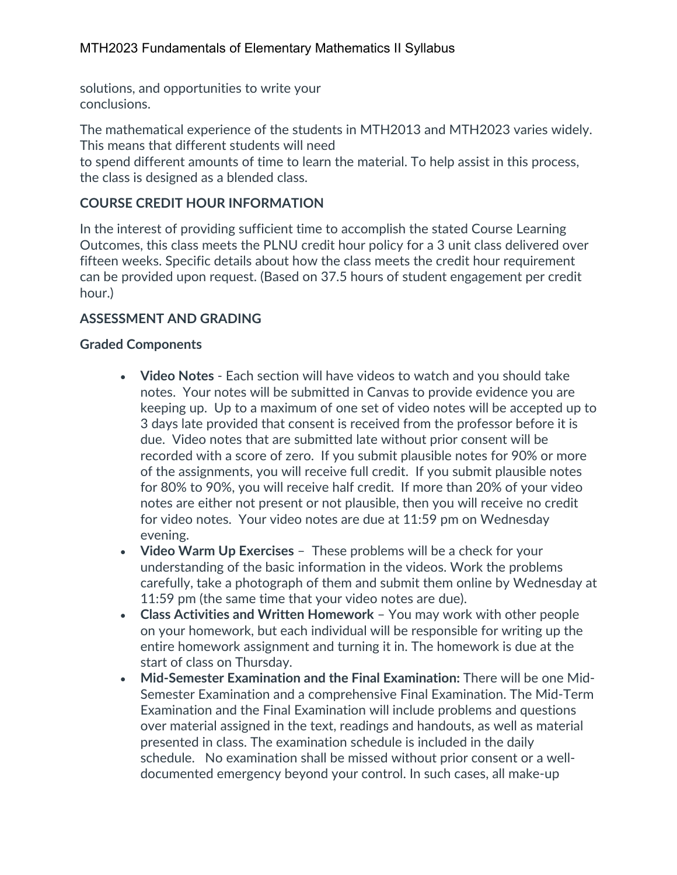solutions, and opportunities to write your conclusions.

The mathematical experience of the students in MTH2013 and MTH2023 varies widely. This means that different students will need

to spend different amounts of time to learn the material. To help assist in this process, the class is designed as a blended class.

# **COURSE CREDIT HOUR INFORMATION**

In the interest of providing sufficient time to accomplish the stated Course Learning Outcomes, this class meets the PLNU credit hour policy for a 3 unit class delivered over fifteen weeks. Specific details about how the class meets the credit hour requirement can be provided upon request. (Based on 37.5 hours of student engagement per credit hour.)

### **ASSESSMENT AND GRADING**

### **Graded Components**

- **Video Notes** Each section will have videos to watch and you should take notes. Your notes will be submitted in Canvas to provide evidence you are keeping up. Up to a maximum of one set of video notes will be accepted up to 3 days late provided that consent is received from the professor before it is due. Video notes that are submitted late without prior consent will be recorded with a score of zero. If you submit plausible notes for 90% or more of the assignments, you will receive full credit. If you submit plausible notes for 80% to 90%, you will receive half credit. If more than 20% of your video notes are either not present or not plausible, then you will receive no credit for video notes. Your video notes are due at 11:59 pm on Wednesday evening.
- **Video Warm Up Exercises** These problems will be a check for your understanding of the basic information in the videos. Work the problems carefully, take a photograph of them and submit them online by Wednesday at 11:59 pm (the same time that your video notes are due).
- **Class Activities and Written Homework** You may work with other people on your homework, but each individual will be responsible for writing up the entire homework assignment and turning it in. The homework is due at the start of class on Thursday.
- **Mid-Semester Examination and the Final Examination:** There will be one Mid-Semester Examination and a comprehensive Final Examination. The Mid-Term Examination and the Final Examination will include problems and questions over material assigned in the text, readings and handouts, as well as material presented in class. The examination schedule is included in the daily schedule. No examination shall be missed without prior consent or a welldocumented emergency beyond your control. In such cases, all make-up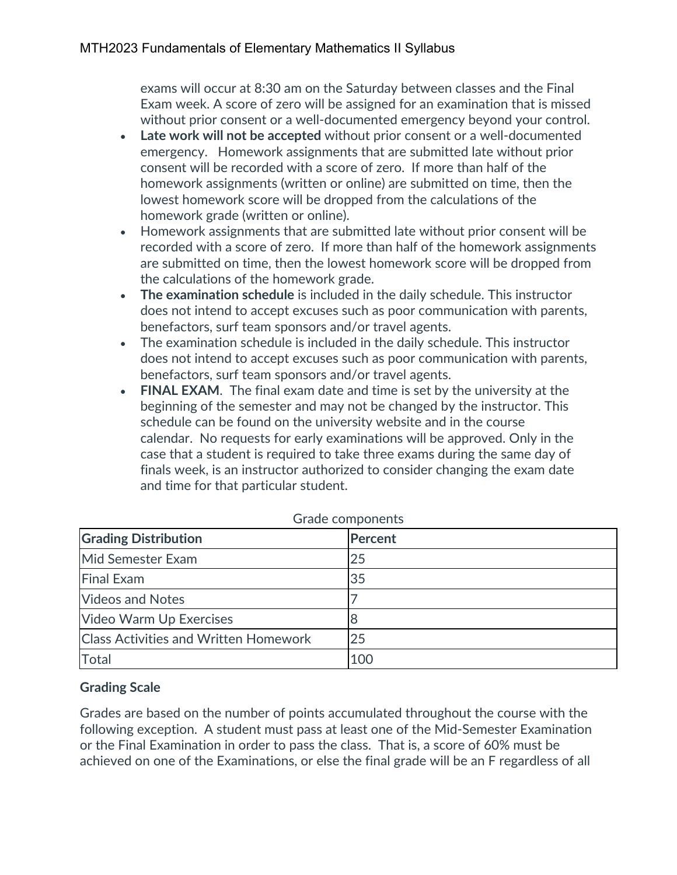exams will occur at 8:30 am on the Saturday between classes and the Final Exam week. A score of zero will be assigned for an examination that is missed without prior consent or a well-documented emergency beyond your control.

- **Late work will not be accepted** without prior consent or a well-documented emergency. Homework assignments that are submitted late without prior consent will be recorded with a score of zero. If more than half of the homework assignments (written or online) are submitted on time, then the lowest homework score will be dropped from the calculations of the homework grade (written or online).
- Homework assignments that are submitted late without prior consent will be recorded with a score of zero. If more than half of the homework assignments are submitted on time, then the lowest homework score will be dropped from the calculations of the homework grade.
- **The examination schedule** is included in the daily schedule. This instructor does not intend to accept excuses such as poor communication with parents, benefactors, surf team sponsors and/or travel agents.
- The examination schedule is included in the daily schedule. This instructor does not intend to accept excuses such as poor communication with parents, benefactors, surf team sponsors and/or travel agents.
- **FINAL EXAM**. The final exam date and time is set by the university at the beginning of the semester and may not be changed by the instructor. This schedule can be found on the university website and in the course calendar. No requests for early examinations will be approved. Only in the case that a student is required to take three exams during the same day of finals week, is an instructor authorized to consider changing the exam date and time for that particular student.

| <b>OTAGE COMPOTIONS</b>                      |         |  |  |  |
|----------------------------------------------|---------|--|--|--|
| <b>Grading Distribution</b>                  | Percent |  |  |  |
| Mid Semester Exam                            | 25      |  |  |  |
| <b>Final Exam</b>                            | 35      |  |  |  |
| <b>Videos and Notes</b>                      |         |  |  |  |
| Video Warm Up Exercises                      | 8       |  |  |  |
| <b>Class Activities and Written Homework</b> | 25      |  |  |  |
| Total                                        | 100     |  |  |  |

Grade components

### **Grading Scale**

Grades are based on the number of points accumulated throughout the course with the following exception. A student must pass at least one of the Mid-Semester Examination or the Final Examination in order to pass the class. That is, a score of 60% must be achieved on one of the Examinations, or else the final grade will be an F regardless of all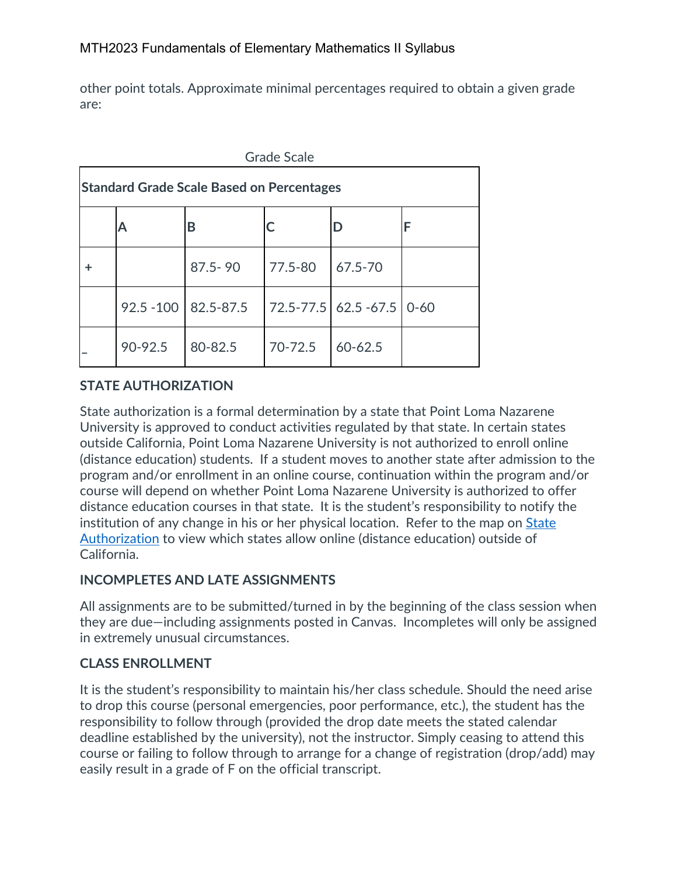other point totals. Approximate minimal percentages required to obtain a given grade are:

| <b>Grade Scale</b>                               |              |             |         |                      |          |  |
|--------------------------------------------------|--------------|-------------|---------|----------------------|----------|--|
| <b>Standard Grade Scale Based on Percentages</b> |              |             |         |                      |          |  |
|                                                  | А            | В           |         | D                    | F        |  |
| ٠                                                |              | $87.5 - 90$ | 77.5-80 | 67.5-70              |          |  |
|                                                  | $92.5 - 100$ | 82.5-87.5   |         | 72.5-77.5 62.5 -67.5 | $0 - 60$ |  |
|                                                  | 90-92.5      | 80-82.5     | 70-72.5 | $60 - 62.5$          |          |  |

# **STATE AUTHORIZATION**

State authorization is a formal determination by a state that Point Loma Nazarene University is approved to conduct activities regulated by that state. In certain states outside California, Point Loma Nazarene University is not authorized to enroll online (distance education) students. If a student moves to another state after admission to the program and/or enrollment in an online course, continuation within the program and/or course will depend on whether Point Loma Nazarene University is authorized to offer distance education courses in that state. It is the student's responsibility to notify the institution of any change in his or her physical location. Refer to the map on State Authorization to view which states allow online (distance education) outside of California.

### **INCOMPLETES AND LATE ASSIGNMENTS**

All assignments are to be submitted/turned in by the beginning of the class session when they are due—including assignments posted in Canvas. Incompletes will only be assigned in extremely unusual circumstances.

# **CLASS ENROLLMENT**

It is the student's responsibility to maintain his/her class schedule. Should the need arise to drop this course (personal emergencies, poor performance, etc.), the student has the responsibility to follow through (provided the drop date meets the stated calendar deadline established by the university), not the instructor. Simply ceasing to attend this course or failing to follow through to arrange for a change of registration (drop/add) may easily result in a grade of F on the official transcript.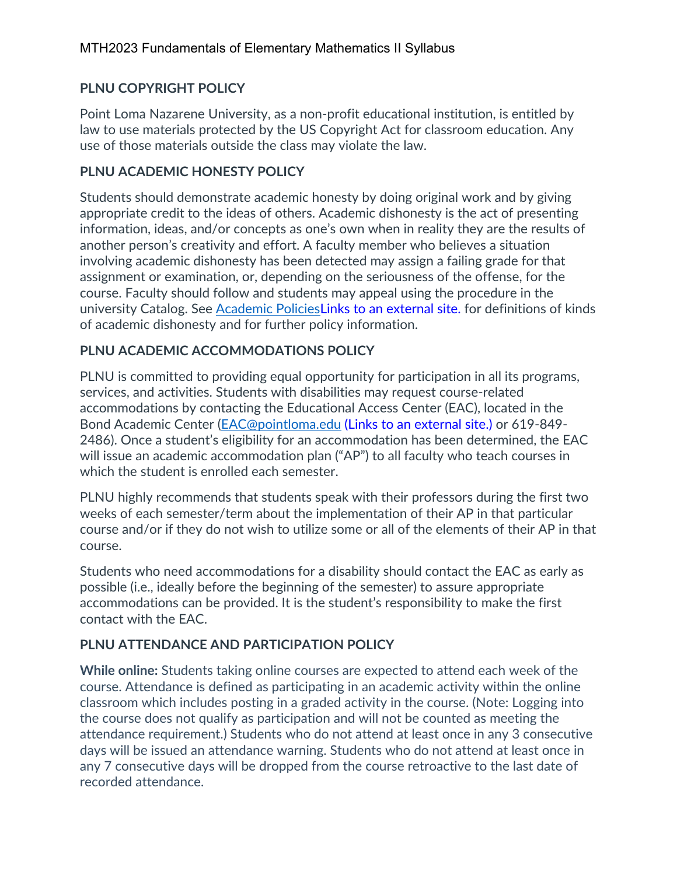## **PLNU COPYRIGHT POLICY**

Point Loma Nazarene University, as a non-profit educational institution, is entitled by law to use materials protected by the US Copyright Act for classroom education. Any use of those materials outside the class may violate the law.

### **PLNU ACADEMIC HONESTY POLICY**

Students should demonstrate academic honesty by doing original work and by giving appropriate credit to the ideas of others. Academic dishonesty is the act of presenting information, ideas, and/or concepts as one's own when in reality they are the results of another person's creativity and effort. A faculty member who believes a situation involving academic dishonesty has been detected may assign a failing grade for that assignment or examination, or, depending on the seriousness of the offense, for the course. Faculty should follow and students may appeal using the procedure in the university Catalog. See Academic PoliciesLinks to an external site. for definitions of kinds of academic dishonesty and for further policy information.

### **PLNU ACADEMIC ACCOMMODATIONS POLICY**

PLNU is committed to providing equal opportunity for participation in all its programs, services, and activities. Students with disabilities may request course-related accommodations by contacting the Educational Access Center (EAC), located in the Bond Academic Center (EAC@pointloma.edu (Links to an external site.) or 619-849- 2486). Once a student's eligibility for an accommodation has been determined, the EAC will issue an academic accommodation plan ("AP") to all faculty who teach courses in which the student is enrolled each semester.

PLNU highly recommends that students speak with their professors during the first two weeks of each semester/term about the implementation of their AP in that particular course and/or if they do not wish to utilize some or all of the elements of their AP in that course.

Students who need accommodations for a disability should contact the EAC as early as possible (i.e., ideally before the beginning of the semester) to assure appropriate accommodations can be provided. It is the student's responsibility to make the first contact with the EAC.

# **PLNU ATTENDANCE AND PARTICIPATION POLICY**

**While online:** Students taking online courses are expected to attend each week of the course. Attendance is defined as participating in an academic activity within the online classroom which includes posting in a graded activity in the course. (Note: Logging into the course does not qualify as participation and will not be counted as meeting the attendance requirement.) Students who do not attend at least once in any 3 consecutive days will be issued an attendance warning. Students who do not attend at least once in any 7 consecutive days will be dropped from the course retroactive to the last date of recorded attendance.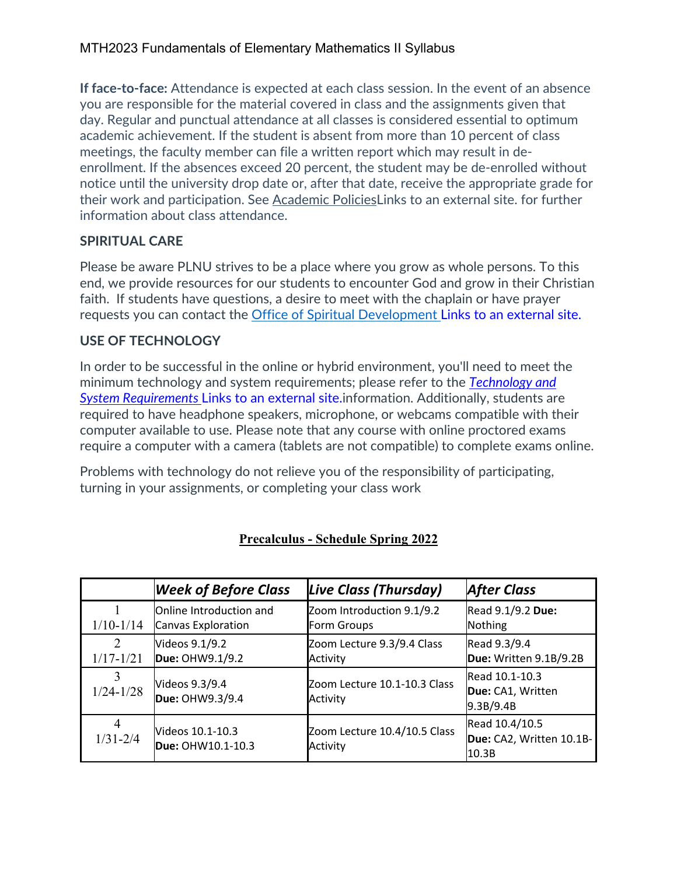### MTH2023 Fundamentals of Elementary Mathematics II Syllabus

**If face-to-face:** Attendance is expected at each class session. In the event of an absence you are responsible for the material covered in class and the assignments given that day. Regular and punctual attendance at all classes is considered essential to optimum academic achievement. If the student is absent from more than 10 percent of class meetings, the faculty member can file a written report which may result in deenrollment. If the absences exceed 20 percent, the student may be de-enrolled without notice until the university drop date or, after that date, receive the appropriate grade for their work and participation. See Academic PoliciesLinks to an external site. for further information about class attendance.

### **SPIRITUAL CARE**

Please be aware PLNU strives to be a place where you grow as whole persons. To this end, we provide resources for our students to encounter God and grow in their Christian faith. If students have questions, a desire to meet with the chaplain or have prayer requests you can contact the Office of Spiritual Development Links to an external site.

### **USE OF TECHNOLOGY**

In order to be successful in the online or hybrid environment, you'll need to meet the minimum technology and system requirements; please refer to the *Technology and System Requirements* Links to an external site.information. Additionally, students are required to have headphone speakers, microphone, or webcams compatible with their computer available to use. Please note that any course with online proctored exams require a computer with a camera (tablets are not compatible) to complete exams online.

Problems with technology do not relieve you of the responsibility of participating, turning in your assignments, or completing your class work

|                                | <b>Week of Before Class</b>                   | Live Class (Thursday)                    | <b>After Class</b>                                  |
|--------------------------------|-----------------------------------------------|------------------------------------------|-----------------------------------------------------|
| $1/10-1/14$                    | Online Introduction and<br>Canvas Exploration | Zoom Introduction 9.1/9.2<br>Form Groups | Read 9.1/9.2 Due:<br>Nothing                        |
| $\mathcal{L}$<br>$1/17 - 1/21$ | Videos 9.1/9.2<br>Due: OHW9.1/9.2             | Zoom Lecture 9.3/9.4 Class<br>Activity   | Read 9.3/9.4<br>Due: Written 9.1B/9.2B              |
| $1/24 - 1/28$                  | Videos 9.3/9.4<br>Due: OHW9.3/9.4             | Zoom Lecture 10.1-10.3 Class<br>Activity | Read 10.1-10.3<br>Due: CA1, Written<br>9.3B/9.4B    |
| 4<br>$1/31 - 2/4$              | Videos 10.1-10.3<br>Due: OHW10.1-10.3         | Zoom Lecture 10.4/10.5 Class<br>Activity | Read 10.4/10.5<br>Due: CA2, Written 10.1B-<br>10.3B |